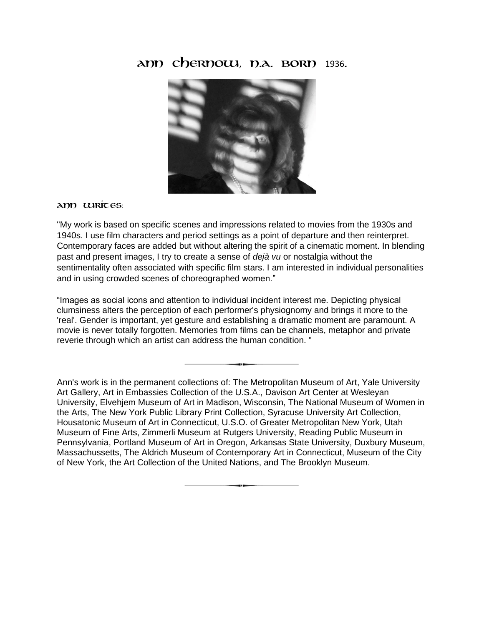## **Ann Chernow**, **N.A. Born** 1936**.**



## **Ann writes**:

"My work is based on specific scenes and impressions related to movies from the 1930s and 1940s. I use film characters and period settings as a point of departure and then reinterpret. Contemporary faces are added but without altering the spirit of a cinematic moment. In blending past and present images, I try to create a sense of *dejà vu* or nostalgia without the sentimentality often associated with specific film stars. I am interested in individual personalities and in using crowded scenes of choreographed women."

"Images as social icons and attention to individual incident interest me. Depicting physical clumsiness alters the perception of each performer's physiognomy and brings it more to the 'real'. Gender is important, yet gesture and establishing a dramatic moment are paramount. A movie is never totally forgotten. Memories from films can be channels, metaphor and private reverie through which an artist can address the human condition. "

Ann's work is in the permanent collections of: The Metropolitan Museum of Art, Yale University Art Gallery, Art in Embassies Collection of the U.S.A., Davison Art Center at Wesleyan University, Elvehjem Museum of Art in Madison, Wisconsin, The National Museum of Women in the Arts, The New York Public Library Print Collection, Syracuse University Art Collection, Housatonic Museum of Art in Connecticut, U.S.O. of Greater Metropolitan New York, Utah Museum of Fine Arts, Zimmerli Museum at Rutgers University, Reading Public Museum in Pennsylvania, Portland Museum of Art in Oregon, Arkansas State University, Duxbury Museum, Massachussetts, The Aldrich Museum of Contemporary Art in Connecticut, Museum of the City of New York, the Art Collection of the United Nations, and The Brooklyn Museum.